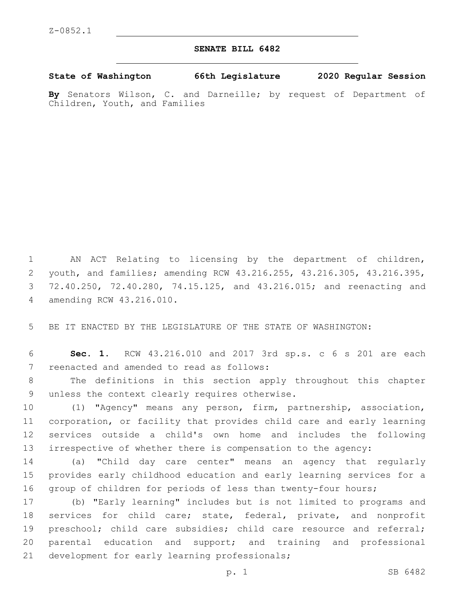## **SENATE BILL 6482**

**State of Washington 66th Legislature 2020 Regular Session**

**By** Senators Wilson, C. and Darneille; by request of Department of Children, Youth, and Families

 AN ACT Relating to licensing by the department of children, youth, and families; amending RCW 43.216.255, 43.216.305, 43.216.395, 72.40.250, 72.40.280, 74.15.125, and 43.216.015; and reenacting and amending RCW 43.216.010.4

5 BE IT ENACTED BY THE LEGISLATURE OF THE STATE OF WASHINGTON:

6 **Sec. 1.** RCW 43.216.010 and 2017 3rd sp.s. c 6 s 201 are each 7 reenacted and amended to read as follows:

8 The definitions in this section apply throughout this chapter 9 unless the context clearly requires otherwise.

 (1) "Agency" means any person, firm, partnership, association, corporation, or facility that provides child care and early learning services outside a child's own home and includes the following irrespective of whether there is compensation to the agency:

14 (a) "Child day care center" means an agency that regularly 15 provides early childhood education and early learning services for a 16 group of children for periods of less than twenty-four hours;

17 (b) "Early learning" includes but is not limited to programs and 18 services for child care; state, federal, private, and nonprofit 19 preschool; child care subsidies; child care resource and referral; 20 parental education and support; and training and professional 21 development for early learning professionals;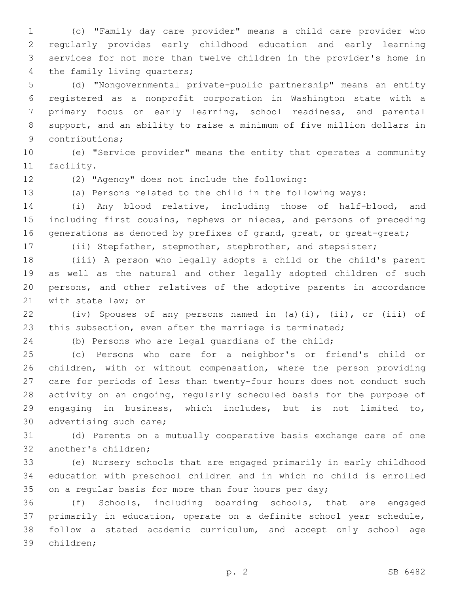(c) "Family day care provider" means a child care provider who regularly provides early childhood education and early learning services for not more than twelve children in the provider's home in 4 the family living quarters;

 (d) "Nongovernmental private-public partnership" means an entity registered as a nonprofit corporation in Washington state with a primary focus on early learning, school readiness, and parental support, and an ability to raise a minimum of five million dollars in 9 contributions;

 (e) "Service provider" means the entity that operates a community 11 facility.

(2) "Agency" does not include the following:12

(a) Persons related to the child in the following ways:

 (i) Any blood relative, including those of half-blood, and including first cousins, nephews or nieces, and persons of preceding 16 generations as denoted by prefixes of grand, great, or great-great;

(ii) Stepfather, stepmother, stepbrother, and stepsister;

 (iii) A person who legally adopts a child or the child's parent as well as the natural and other legally adopted children of such persons, and other relatives of the adoptive parents in accordance 21 with state law; or

 (iv) Spouses of any persons named in (a)(i), (ii), or (iii) of this subsection, even after the marriage is terminated;

(b) Persons who are legal guardians of the child;

 (c) Persons who care for a neighbor's or friend's child or children, with or without compensation, where the person providing care for periods of less than twenty-four hours does not conduct such activity on an ongoing, regularly scheduled basis for the purpose of engaging in business, which includes, but is not limited to, 30 advertising such care;

 (d) Parents on a mutually cooperative basis exchange care of one 32 another's children;

 (e) Nursery schools that are engaged primarily in early childhood education with preschool children and in which no child is enrolled 35 on a regular basis for more than four hours per day;

 (f) Schools, including boarding schools, that are engaged primarily in education, operate on a definite school year schedule, follow a stated academic curriculum, and accept only school age 39 children;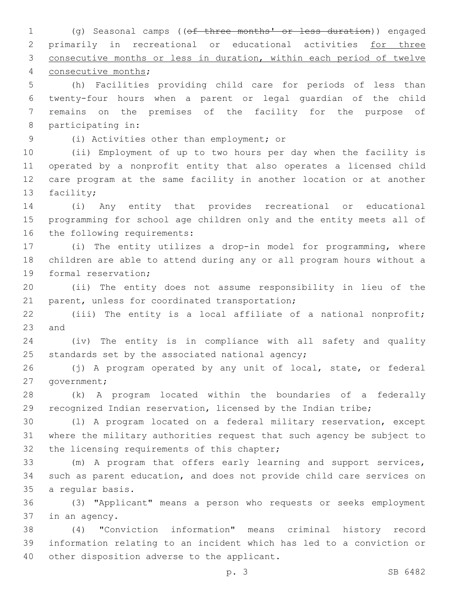(g) Seasonal camps ((of three months' or less duration)) engaged primarily in recreational or educational activities for three consecutive months or less in duration, within each period of twelve 4 consecutive months; (h) Facilities providing child care for periods of less than twenty-four hours when a parent or legal guardian of the child remains on the premises of the facility for the purpose of 8 participating in: (i) Activities other than employment; or9 (ii) Employment of up to two hours per day when the facility is operated by a nonprofit entity that also operates a licensed child care program at the same facility in another location or at another 13 facility; (i) Any entity that provides recreational or educational programming for school age children only and the entity meets all of 16 the following requirements: (i) The entity utilizes a drop-in model for programming, where children are able to attend during any or all program hours without a 19 formal reservation; (ii) The entity does not assume responsibility in lieu of the 21 parent, unless for coordinated transportation; (iii) The entity is a local affiliate of a national nonprofit; and (iv) The entity is in compliance with all safety and quality 25 standards set by the associated national agency; (j) A program operated by any unit of local, state, or federal 27 government; (k) A program located within the boundaries of a federally recognized Indian reservation, licensed by the Indian tribe; (l) A program located on a federal military reservation, except where the military authorities request that such agency be subject to 32 the licensing requirements of this chapter; (m) A program that offers early learning and support services, such as parent education, and does not provide child care services on 35 a regular basis. (3) "Applicant" means a person who requests or seeks employment 37 in an agency. (4) "Conviction information" means criminal history record information relating to an incident which has led to a conviction or 40 other disposition adverse to the applicant. p. 3 SB 6482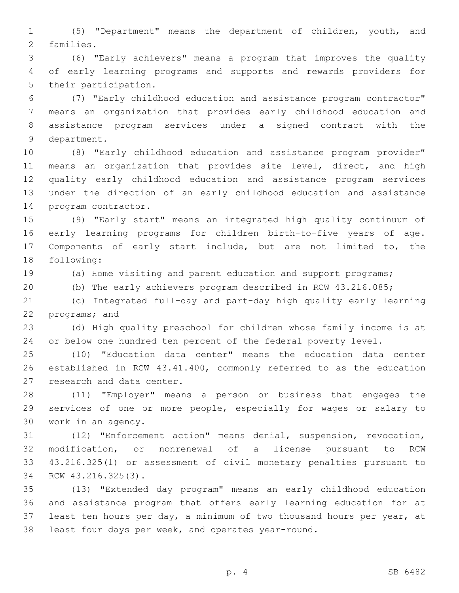(5) "Department" means the department of children, youth, and 2 families.

 (6) "Early achievers" means a program that improves the quality of early learning programs and supports and rewards providers for 5 their participation.

 (7) "Early childhood education and assistance program contractor" means an organization that provides early childhood education and assistance program services under a signed contract with the 9 department.

 (8) "Early childhood education and assistance program provider" means an organization that provides site level, direct, and high quality early childhood education and assistance program services under the direction of an early childhood education and assistance 14 program contractor.

 (9) "Early start" means an integrated high quality continuum of early learning programs for children birth-to-five years of age. Components of early start include, but are not limited to, the 18 following:

(a) Home visiting and parent education and support programs;

(b) The early achievers program described in RCW 43.216.085;

 (c) Integrated full-day and part-day high quality early learning 22 programs; and

 (d) High quality preschool for children whose family income is at or below one hundred ten percent of the federal poverty level.

 (10) "Education data center" means the education data center established in RCW 43.41.400, commonly referred to as the education 27 research and data center.

 (11) "Employer" means a person or business that engages the services of one or more people, especially for wages or salary to 30 work in an agency.

 (12) "Enforcement action" means denial, suspension, revocation, modification, or nonrenewal of a license pursuant to RCW 43.216.325(1) or assessment of civil monetary penalties pursuant to 34 RCW 43.216.325(3).

 (13) "Extended day program" means an early childhood education and assistance program that offers early learning education for at least ten hours per day, a minimum of two thousand hours per year, at least four days per week, and operates year-round.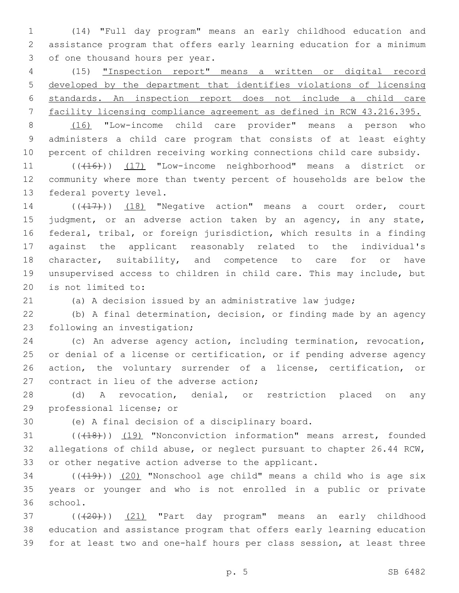(14) "Full day program" means an early childhood education and assistance program that offers early learning education for a minimum 3 of one thousand hours per year.

 (15) "Inspection report" means a written or digital record developed by the department that identifies violations of licensing standards. An inspection report does not include a child care facility licensing compliance agreement as defined in RCW 43.216.395.

 (16) "Low-income child care provider" means a person who administers a child care program that consists of at least eighty percent of children receiving working connections child care subsidy.

11 (((16))) (17) "Low-income neighborhood" means a district or community where more than twenty percent of households are below the 13 federal poverty level.

14 (((17))) (18) "Negative action" means a court order, court 15 judgment, or an adverse action taken by an agency, in any state, federal, tribal, or foreign jurisdiction, which results in a finding against the applicant reasonably related to the individual's 18 character, suitability, and competence to care for or have unsupervised access to children in child care. This may include, but 20 is not limited to:

(a) A decision issued by an administrative law judge;

 (b) A final determination, decision, or finding made by an agency 23 following an investigation;

 (c) An adverse agency action, including termination, revocation, or denial of a license or certification, or if pending adverse agency action, the voluntary surrender of a license, certification, or 27 contract in lieu of the adverse action;

 (d) A revocation, denial, or restriction placed on any 29 professional license; or

30 (e) A final decision of a disciplinary board.

31 (((418))) (19) "Nonconviction information" means arrest, founded allegations of child abuse, or neglect pursuant to chapter 26.44 RCW, or other negative action adverse to the applicant.

 ( $(\overline{+19})$ )  $(20)$  "Nonschool age child" means a child who is age six years or younger and who is not enrolled in a public or private 36 school.

37 ((+20))) (21) "Part day program" means an early childhood education and assistance program that offers early learning education for at least two and one-half hours per class session, at least three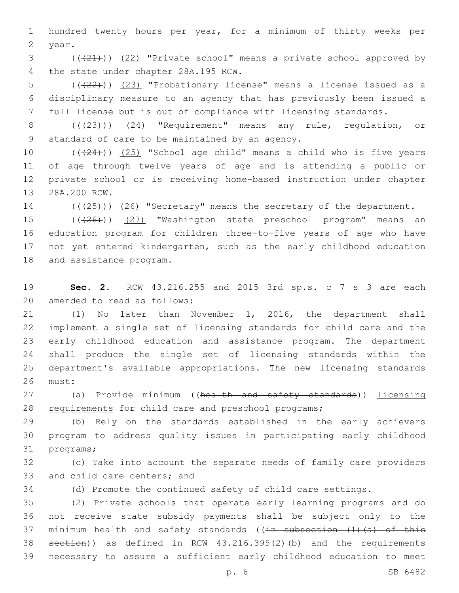1 hundred twenty hours per year, for a minimum of thirty weeks per 2 year.

3 (( $(21)$ )) (22) "Private school" means a private school approved by 4 the state under chapter 28A.195 RCW.

5 (((22))) (23) "Probationary license" means a license issued as a 6 disciplinary measure to an agency that has previously been issued a 7 full license but is out of compliance with licensing standards.

8 (( $(23)$ )) (24) "Requirement" means any rule, regulation, or 9 standard of care to be maintained by an agency.

 $((+24))$   $(25)$  "School age child" means a child who is five years of age through twelve years of age and is attending a public or private school or is receiving home-based instruction under chapter 13 28A.200 RCW.

14 (( $(25)$ )) (26) "Secretary" means the secretary of the department.

15 (( $(26)$ )) (27) "Washington state preschool program" means an 16 education program for children three-to-five years of age who have 17 not yet entered kindergarten, such as the early childhood education 18 and assistance program.

19 **Sec. 2.** RCW 43.216.255 and 2015 3rd sp.s. c 7 s 3 are each 20 amended to read as follows:

 (1) No later than November 1, 2016, the department shall implement a single set of licensing standards for child care and the early childhood education and assistance program. The department shall produce the single set of licensing standards within the department's available appropriations. The new licensing standards 26 must:

27 (a) Provide minimum ((health and safety standards)) licensing 28 requirements for child care and preschool programs;

29 (b) Rely on the standards established in the early achievers 30 program to address quality issues in participating early childhood 31 programs;

32 (c) Take into account the separate needs of family care providers 33 and child care centers; and

34 (d) Promote the continued safety of child care settings.

 (2) Private schools that operate early learning programs and do not receive state subsidy payments shall be subject only to the 37 minimum health and safety standards ( $(in$  subsection  $(1)$   $(a)$  of this section)) as defined in RCW 43.216.395(2)(b) and the requirements necessary to assure a sufficient early childhood education to meet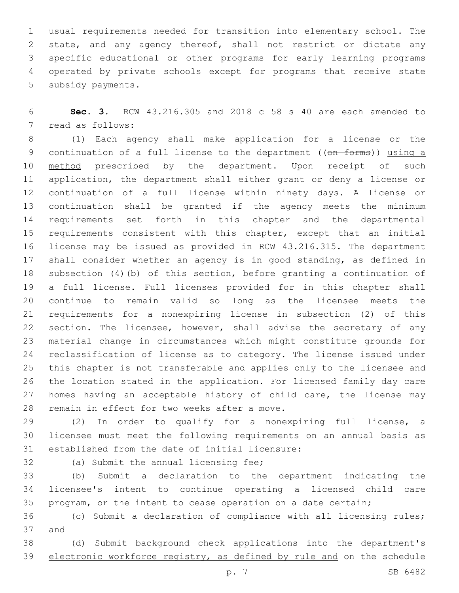usual requirements needed for transition into elementary school. The state, and any agency thereof, shall not restrict or dictate any specific educational or other programs for early learning programs operated by private schools except for programs that receive state 5 subsidy payments.

 **Sec. 3.** RCW 43.216.305 and 2018 c 58 s 40 are each amended to 7 read as follows:

 (1) Each agency shall make application for a license or the 9 continuation of a full license to the department ((on forms)) using a 10 method prescribed by the department. Upon receipt of such application, the department shall either grant or deny a license or continuation of a full license within ninety days. A license or continuation shall be granted if the agency meets the minimum requirements set forth in this chapter and the departmental 15 requirements consistent with this chapter, except that an initial license may be issued as provided in RCW 43.216.315. The department shall consider whether an agency is in good standing, as defined in subsection (4)(b) of this section, before granting a continuation of a full license. Full licenses provided for in this chapter shall continue to remain valid so long as the licensee meets the requirements for a nonexpiring license in subsection (2) of this 22 section. The licensee, however, shall advise the secretary of any material change in circumstances which might constitute grounds for reclassification of license as to category. The license issued under this chapter is not transferable and applies only to the licensee and the location stated in the application. For licensed family day care 27 homes having an acceptable history of child care, the license may 28 remain in effect for two weeks after a move.

 (2) In order to qualify for a nonexpiring full license, a licensee must meet the following requirements on an annual basis as 31 established from the date of initial licensure:

32 (a) Submit the annual licensing fee;

 (b) Submit a declaration to the department indicating the licensee's intent to continue operating a licensed child care program, or the intent to cease operation on a date certain;

 (c) Submit a declaration of compliance with all licensing rules; 37 and

 (d) Submit background check applications into the department's electronic workforce registry, as defined by rule and on the schedule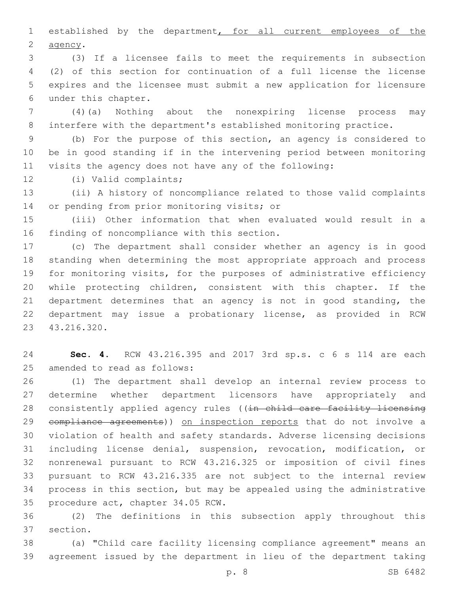established by the department, for all current employees of the 2 agency.

 (3) If a licensee fails to meet the requirements in subsection (2) of this section for continuation of a full license the license expires and the licensee must submit a new application for licensure under this chapter.6

 (4)(a) Nothing about the nonexpiring license process may interfere with the department's established monitoring practice.

 (b) For the purpose of this section, an agency is considered to be in good standing if in the intervening period between monitoring visits the agency does not have any of the following:

12 (i) Valid complaints;

 (ii) A history of noncompliance related to those valid complaints 14 or pending from prior monitoring visits; or

 (iii) Other information that when evaluated would result in a 16 finding of noncompliance with this section.

 (c) The department shall consider whether an agency is in good standing when determining the most appropriate approach and process for monitoring visits, for the purposes of administrative efficiency while protecting children, consistent with this chapter. If the 21 department determines that an agency is not in good standing, the department may issue a probationary license, as provided in RCW 43.216.320.23

 **Sec. 4.** RCW 43.216.395 and 2017 3rd sp.s. c 6 s 114 are each 25 amended to read as follows:

 (1) The department shall develop an internal review process to determine whether department licensors have appropriately and 28 consistently applied agency rules ((in child care facility licensing 29 compliance agreements)) on inspection reports that do not involve a violation of health and safety standards. Adverse licensing decisions including license denial, suspension, revocation, modification, or nonrenewal pursuant to RCW 43.216.325 or imposition of civil fines pursuant to RCW 43.216.335 are not subject to the internal review process in this section, but may be appealed using the administrative 35 procedure act, chapter 34.05 RCW.

 (2) The definitions in this subsection apply throughout this 37 section.

 (a) "Child care facility licensing compliance agreement" means an agreement issued by the department in lieu of the department taking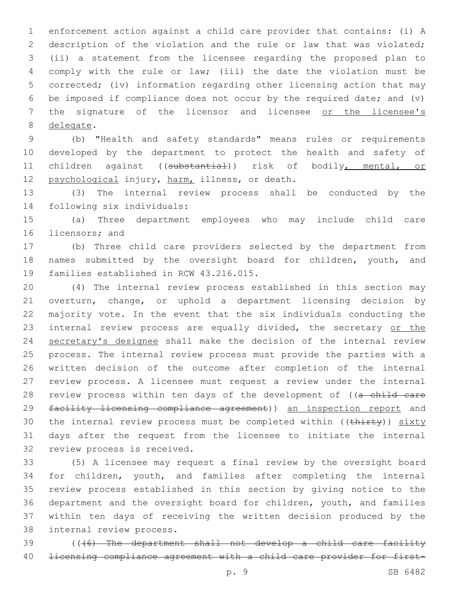enforcement action against a child care provider that contains: (i) A description of the violation and the rule or law that was violated; (ii) a statement from the licensee regarding the proposed plan to comply with the rule or law; (iii) the date the violation must be corrected; (iv) information regarding other licensing action that may be imposed if compliance does not occur by the required date; and (v) 7 the signature of the licensor and licensee or the licensee's 8 delegate.

 (b) "Health and safety standards" means rules or requirements developed by the department to protect the health and safety of children against ((substantial)) risk of bodily, mental, or 12 psychological injury, harm, illness, or death.

 (3) The internal review process shall be conducted by the 14 following six individuals:

 (a) Three department employees who may include child care 16 licensors; and

 (b) Three child care providers selected by the department from names submitted by the oversight board for children, youth, and 19 families established in RCW 43.216.015.

 (4) The internal review process established in this section may overturn, change, or uphold a department licensing decision by majority vote. In the event that the six individuals conducting the 23 internal review process are equally divided, the secretary or the secretary's designee shall make the decision of the internal review process. The internal review process must provide the parties with a written decision of the outcome after completion of the internal review process. A licensee must request a review under the internal 28 review process within ten days of the development of ((a child care 29 facility licensing compliance agreement)) an inspection report and 30 the internal review process must be completed within ((thirty)) sixty days after the request from the licensee to initiate the internal 32 review process is received.

 (5) A licensee may request a final review by the oversight board for children, youth, and families after completing the internal review process established in this section by giving notice to the department and the oversight board for children, youth, and families within ten days of receiving the written decision produced by the 38 internal review process.

 (((6) The department shall not develop a child care facility licensing compliance agreement with a child care provider for first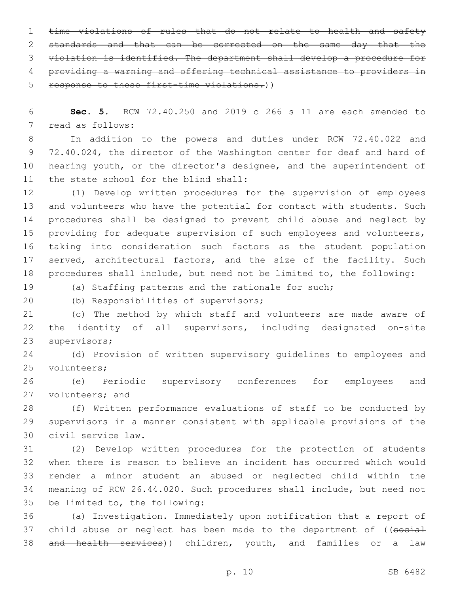1 time violations of rules that do not relate to health and safety 2 standards and that can be corrected on the same day that the 3 violation is identified. The department shall develop a procedure for 4 providing a warning and offering technical assistance to providers in 5 response to these first-time violations.))

6 **Sec. 5.** RCW 72.40.250 and 2019 c 266 s 11 are each amended to 7 read as follows:

 In addition to the powers and duties under RCW 72.40.022 and 72.40.024, the director of the Washington center for deaf and hard of hearing youth, or the director's designee, and the superintendent of 11 the state school for the blind shall:

 (1) Develop written procedures for the supervision of employees and volunteers who have the potential for contact with students. Such procedures shall be designed to prevent child abuse and neglect by 15 providing for adequate supervision of such employees and volunteers, taking into consideration such factors as the student population 17 served, architectural factors, and the size of the facility. Such procedures shall include, but need not be limited to, the following:

19 (a) Staffing patterns and the rationale for such;

20 (b) Responsibilities of supervisors;

21 (c) The method by which staff and volunteers are made aware of 22 the identity of all supervisors, including designated on-site 23 supervisors;

24 (d) Provision of written supervisory guidelines to employees and 25 volunteers;

26 (e) Periodic supervisory conferences for employees and 27 volunteers; and

28 (f) Written performance evaluations of staff to be conducted by 29 supervisors in a manner consistent with applicable provisions of the civil service law.30

 (2) Develop written procedures for the protection of students when there is reason to believe an incident has occurred which would render a minor student an abused or neglected child within the meaning of RCW 26.44.020. Such procedures shall include, but need not 35 be limited to, the following:

36 (a) Investigation. Immediately upon notification that a report of 37 child abuse or neglect has been made to the department of ((social 38 and health services)) children, youth, and families or a law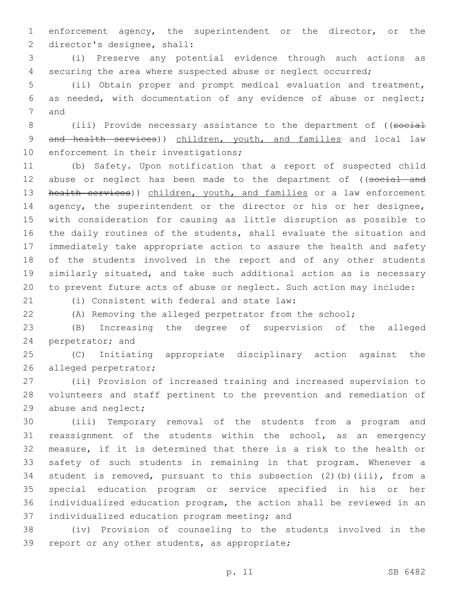enforcement agency, the superintendent or the director, or the 2 director's designee, shall:

 (i) Preserve any potential evidence through such actions as securing the area where suspected abuse or neglect occurred;

 (ii) Obtain proper and prompt medical evaluation and treatment, as needed, with documentation of any evidence of abuse or neglect; 7 and

8 (iii) Provide necessary assistance to the department of ((social 9 and health services)) children, youth, and families and local law 10 enforcement in their investigations;

 (b) Safety. Upon notification that a report of suspected child 12 abuse or neglect has been made to the department of ((social and 13 health services)) children, youth, and families or a law enforcement 14 agency, the superintendent or the director or his or her designee, with consideration for causing as little disruption as possible to the daily routines of the students, shall evaluate the situation and immediately take appropriate action to assure the health and safety of the students involved in the report and of any other students similarly situated, and take such additional action as is necessary to prevent future acts of abuse or neglect. Such action may include:

(i) Consistent with federal and state law:21

(A) Removing the alleged perpetrator from the school;

 (B) Increasing the degree of supervision of the alleged 24 perpetrator; and

 (C) Initiating appropriate disciplinary action against the 26 alleged perpetrator;

 (ii) Provision of increased training and increased supervision to volunteers and staff pertinent to the prevention and remediation of 29 abuse and neglect;

 (iii) Temporary removal of the students from a program and reassignment of the students within the school, as an emergency measure, if it is determined that there is a risk to the health or safety of such students in remaining in that program. Whenever a student is removed, pursuant to this subsection (2)(b)(iii), from a special education program or service specified in his or her individualized education program, the action shall be reviewed in an 37 individualized education program meeting; and

 (iv) Provision of counseling to the students involved in the 39 report or any other students, as appropriate;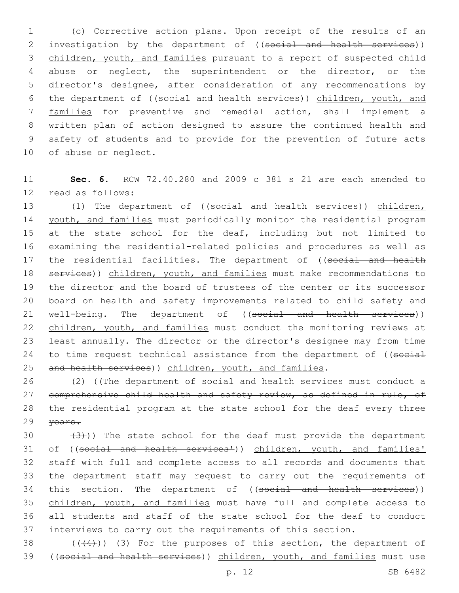(c) Corrective action plans. Upon receipt of the results of an 2 investigation by the department of ((social and health services)) children, youth, and families pursuant to a report of suspected child abuse or neglect, the superintendent or the director, or the director's designee, after consideration of any recommendations by the department of ((social and health services)) children, youth, and families for preventive and remedial action, shall implement a written plan of action designed to assure the continued health and safety of students and to provide for the prevention of future acts 10 of abuse or neglect.

11 **Sec. 6.** RCW 72.40.280 and 2009 c 381 s 21 are each amended to 12 read as follows:

13 (1) The department of ((social and health services)) children, 14 youth, and families must periodically monitor the residential program 15 at the state school for the deaf, including but not limited to 16 examining the residential-related policies and procedures as well as 17 the residential facilities. The department of ((social and health 18 services)) children, youth, and families must make recommendations to 19 the director and the board of trustees of the center or its successor 20 board on health and safety improvements related to child safety and 21 well-being. The department of ((social and health services)) 22 children, youth, and families must conduct the monitoring reviews at 23 least annually. The director or the director's designee may from time 24 to time request technical assistance from the department of ((social 25 and health services)) children, youth, and families.

26 (2) ((The department of social and health services must conduct a 27 comprehensive child health and safety review, as defined in rule, of 28 the residential program at the state school for the deaf every three 29 years.

 $(3)$ )) The state school for the deaf must provide the department 31 of ((social and health services')) children, youth, and families' staff with full and complete access to all records and documents that the department staff may request to carry out the requirements of 34 this section. The department of ((social and health services)) children, youth, and families must have full and complete access to all students and staff of the state school for the deaf to conduct interviews to carry out the requirements of this section.

38  $((+4))$   $(3)$  For the purposes of this section, the department of 39 ((social and health services)) children, youth, and families must use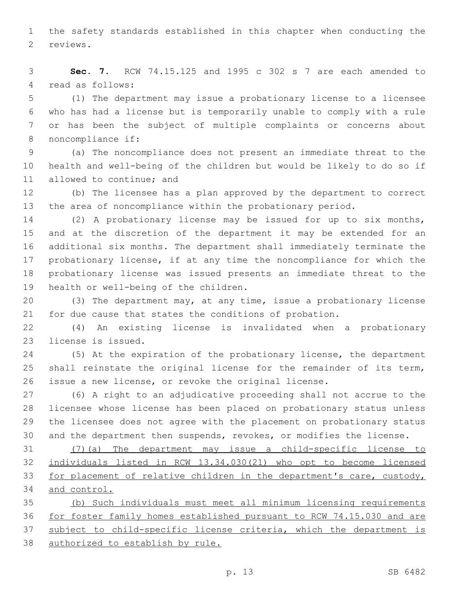the safety standards established in this chapter when conducting the 2 reviews.

 **Sec. 7.** RCW 74.15.125 and 1995 c 302 s 7 are each amended to 4 read as follows:

 (1) The department may issue a probationary license to a licensee who has had a license but is temporarily unable to comply with a rule or has been the subject of multiple complaints or concerns about 8 noncompliance if:

 (a) The noncompliance does not present an immediate threat to the health and well-being of the children but would be likely to do so if 11 allowed to continue; and

 (b) The licensee has a plan approved by the department to correct the area of noncompliance within the probationary period.

 (2) A probationary license may be issued for up to six months, and at the discretion of the department it may be extended for an additional six months. The department shall immediately terminate the probationary license, if at any time the noncompliance for which the probationary license was issued presents an immediate threat to the 19 health or well-being of the children.

 (3) The department may, at any time, issue a probationary license for due cause that states the conditions of probation.

 (4) An existing license is invalidated when a probationary 23 license is issued.

 (5) At the expiration of the probationary license, the department shall reinstate the original license for the remainder of its term, issue a new license, or revoke the original license.

 (6) A right to an adjudicative proceeding shall not accrue to the licensee whose license has been placed on probationary status unless the licensee does not agree with the placement on probationary status and the department then suspends, revokes, or modifies the license.

 (7)(a) The department may issue a child-specific license to individuals listed in RCW 13.34.030(21) who opt to become licensed for placement of relative children in the department's care, custody, and control.

 (b) Such individuals must meet all minimum licensing requirements for foster family homes established pursuant to RCW 74.15.030 and are subject to child-specific license criteria, which the department is authorized to establish by rule.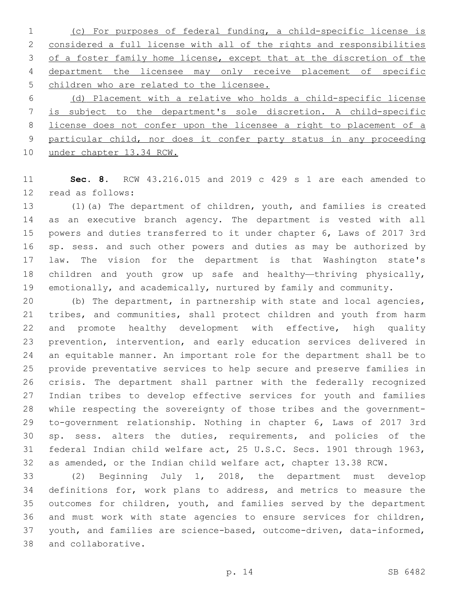(c) For purposes of federal funding, a child-specific license is considered a full license with all of the rights and responsibilities of a foster family home license, except that at the discretion of the department the licensee may only receive placement of specific children who are related to the licensee.

 (d) Placement with a relative who holds a child-specific license is subject to the department's sole discretion. A child-specific license does not confer upon the licensee a right to placement of a particular child, nor does it confer party status in any proceeding under chapter 13.34 RCW.

 **Sec. 8.** RCW 43.216.015 and 2019 c 429 s 1 are each amended to 12 read as follows:

 (1)(a) The department of children, youth, and families is created as an executive branch agency. The department is vested with all powers and duties transferred to it under chapter 6, Laws of 2017 3rd sp. sess. and such other powers and duties as may be authorized by law. The vision for the department is that Washington state's children and youth grow up safe and healthy—thriving physically, emotionally, and academically, nurtured by family and community.

 (b) The department, in partnership with state and local agencies, tribes, and communities, shall protect children and youth from harm 22 and promote healthy development with effective, high quality prevention, intervention, and early education services delivered in an equitable manner. An important role for the department shall be to provide preventative services to help secure and preserve families in crisis. The department shall partner with the federally recognized Indian tribes to develop effective services for youth and families while respecting the sovereignty of those tribes and the government- to-government relationship. Nothing in chapter 6, Laws of 2017 3rd sp. sess. alters the duties, requirements, and policies of the federal Indian child welfare act, 25 U.S.C. Secs. 1901 through 1963, as amended, or the Indian child welfare act, chapter 13.38 RCW.

 (2) Beginning July 1, 2018, the department must develop definitions for, work plans to address, and metrics to measure the outcomes for children, youth, and families served by the department and must work with state agencies to ensure services for children, youth, and families are science-based, outcome-driven, data-informed, 38 and collaborative.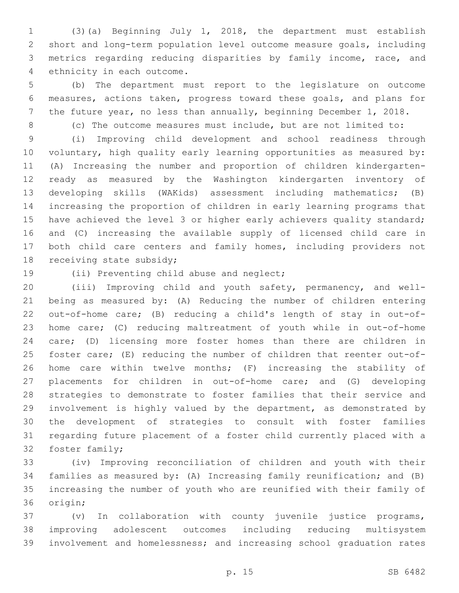(3)(a) Beginning July 1, 2018, the department must establish short and long-term population level outcome measure goals, including metrics regarding reducing disparities by family income, race, and 4 ethnicity in each outcome.

 (b) The department must report to the legislature on outcome measures, actions taken, progress toward these goals, and plans for the future year, no less than annually, beginning December 1, 2018.

(c) The outcome measures must include, but are not limited to:

 (i) Improving child development and school readiness through voluntary, high quality early learning opportunities as measured by: (A) Increasing the number and proportion of children kindergarten- ready as measured by the Washington kindergarten inventory of developing skills (WAKids) assessment including mathematics; (B) increasing the proportion of children in early learning programs that 15 have achieved the level 3 or higher early achievers quality standard; and (C) increasing the available supply of licensed child care in both child care centers and family homes, including providers not 18 receiving state subsidy;

19 (ii) Preventing child abuse and neglect;

 (iii) Improving child and youth safety, permanency, and well- being as measured by: (A) Reducing the number of children entering out-of-home care; (B) reducing a child's length of stay in out-of- home care; (C) reducing maltreatment of youth while in out-of-home care; (D) licensing more foster homes than there are children in foster care; (E) reducing the number of children that reenter out-of- home care within twelve months; (F) increasing the stability of placements for children in out-of-home care; and (G) developing strategies to demonstrate to foster families that their service and involvement is highly valued by the department, as demonstrated by the development of strategies to consult with foster families regarding future placement of a foster child currently placed with a 32 foster family;

 (iv) Improving reconciliation of children and youth with their families as measured by: (A) Increasing family reunification; and (B) increasing the number of youth who are reunified with their family of 36 origin;

 (v) In collaboration with county juvenile justice programs, improving adolescent outcomes including reducing multisystem involvement and homelessness; and increasing school graduation rates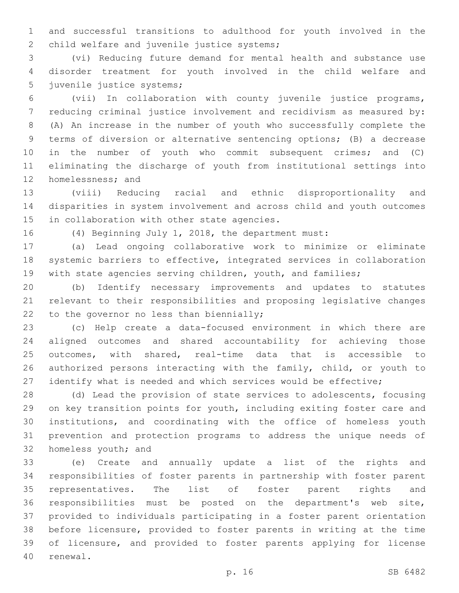and successful transitions to adulthood for youth involved in the 2 child welfare and juvenile justice systems;

 (vi) Reducing future demand for mental health and substance use disorder treatment for youth involved in the child welfare and 5 juvenile justice systems;

 (vii) In collaboration with county juvenile justice programs, reducing criminal justice involvement and recidivism as measured by: (A) An increase in the number of youth who successfully complete the terms of diversion or alternative sentencing options; (B) a decrease in the number of youth who commit subsequent crimes; and (C) eliminating the discharge of youth from institutional settings into 12 homelessness; and

 (viii) Reducing racial and ethnic disproportionality and disparities in system involvement and across child and youth outcomes 15 in collaboration with other state agencies.

(4) Beginning July 1, 2018, the department must:

 (a) Lead ongoing collaborative work to minimize or eliminate systemic barriers to effective, integrated services in collaboration 19 with state agencies serving children, youth, and families;

 (b) Identify necessary improvements and updates to statutes relevant to their responsibilities and proposing legislative changes 22 to the governor no less than biennially;

 (c) Help create a data-focused environment in which there are aligned outcomes and shared accountability for achieving those outcomes, with shared, real-time data that is accessible to 26 authorized persons interacting with the family, child, or youth to 27 identify what is needed and which services would be effective;

 (d) Lead the provision of state services to adolescents, focusing on key transition points for youth, including exiting foster care and institutions, and coordinating with the office of homeless youth prevention and protection programs to address the unique needs of 32 homeless youth; and

 (e) Create and annually update a list of the rights and responsibilities of foster parents in partnership with foster parent representatives. The list of foster parent rights and responsibilities must be posted on the department's web site, provided to individuals participating in a foster parent orientation before licensure, provided to foster parents in writing at the time of licensure, and provided to foster parents applying for license 40 renewal.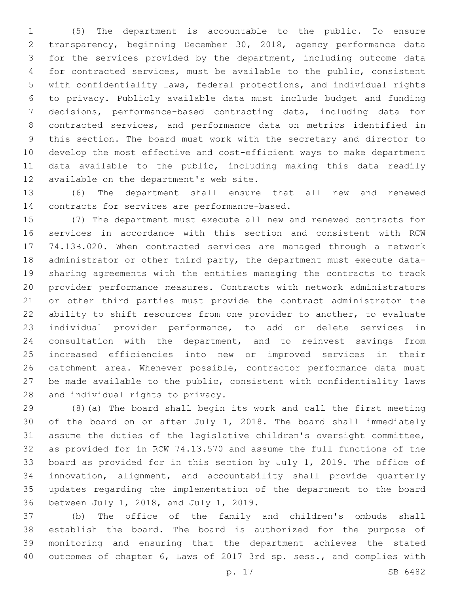(5) The department is accountable to the public. To ensure transparency, beginning December 30, 2018, agency performance data for the services provided by the department, including outcome data for contracted services, must be available to the public, consistent with confidentiality laws, federal protections, and individual rights to privacy. Publicly available data must include budget and funding decisions, performance-based contracting data, including data for contracted services, and performance data on metrics identified in this section. The board must work with the secretary and director to develop the most effective and cost-efficient ways to make department data available to the public, including making this data readily 12 available on the department's web site.

 (6) The department shall ensure that all new and renewed 14 contracts for services are performance-based.

 (7) The department must execute all new and renewed contracts for services in accordance with this section and consistent with RCW 74.13B.020. When contracted services are managed through a network administrator or other third party, the department must execute data- sharing agreements with the entities managing the contracts to track provider performance measures. Contracts with network administrators or other third parties must provide the contract administrator the ability to shift resources from one provider to another, to evaluate individual provider performance, to add or delete services in consultation with the department, and to reinvest savings from increased efficiencies into new or improved services in their catchment area. Whenever possible, contractor performance data must be made available to the public, consistent with confidentiality laws 28 and individual rights to privacy.

 (8)(a) The board shall begin its work and call the first meeting of the board on or after July 1, 2018. The board shall immediately assume the duties of the legislative children's oversight committee, as provided for in RCW 74.13.570 and assume the full functions of the board as provided for in this section by July 1, 2019. The office of innovation, alignment, and accountability shall provide quarterly updates regarding the implementation of the department to the board 36 between July 1, 2018, and July 1, 2019.

 (b) The office of the family and children's ombuds shall establish the board. The board is authorized for the purpose of monitoring and ensuring that the department achieves the stated outcomes of chapter 6, Laws of 2017 3rd sp. sess., and complies with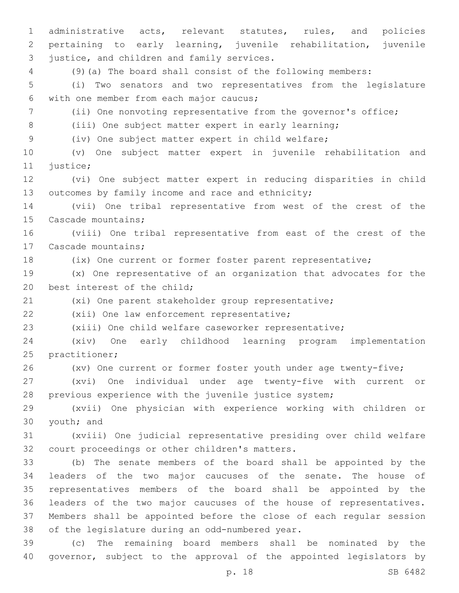administrative acts, relevant statutes, rules, and policies pertaining to early learning, juvenile rehabilitation, juvenile 3 justice, and children and family services. (9)(a) The board shall consist of the following members: (i) Two senators and two representatives from the legislature with one member from each major caucus;6 (ii) One nonvoting representative from the governor's office; (iii) One subject matter expert in early learning; (iv) One subject matter expert in child welfare; (v) One subject matter expert in juvenile rehabilitation and 11 justice; (vi) One subject matter expert in reducing disparities in child 13 outcomes by family income and race and ethnicity; (vii) One tribal representative from west of the crest of the 15 Cascade mountains; (viii) One tribal representative from east of the crest of the 17 Cascade mountains; (ix) One current or former foster parent representative; (x) One representative of an organization that advocates for the 20 best interest of the child; (xi) One parent stakeholder group representative; 22 (xii) One law enforcement representative; (xiii) One child welfare caseworker representative; (xiv) One early childhood learning program implementation 25 practitioner; (xv) One current or former foster youth under age twenty-five; (xvi) One individual under age twenty-five with current or previous experience with the juvenile justice system; (xvii) One physician with experience working with children or 30 youth; and (xviii) One judicial representative presiding over child welfare 32 court proceedings or other children's matters. (b) The senate members of the board shall be appointed by the leaders of the two major caucuses of the senate. The house of representatives members of the board shall be appointed by the leaders of the two major caucuses of the house of representatives. Members shall be appointed before the close of each regular session 38 of the legislature during an odd-numbered year. (c) The remaining board members shall be nominated by the governor, subject to the approval of the appointed legislators by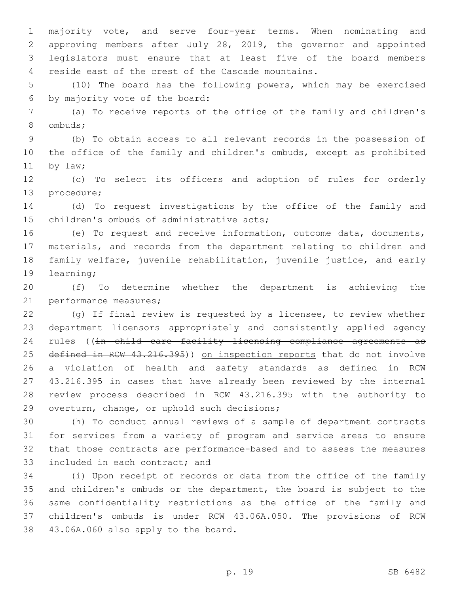majority vote, and serve four-year terms. When nominating and approving members after July 28, 2019, the governor and appointed legislators must ensure that at least five of the board members 4 reside east of the crest of the Cascade mountains.

 (10) The board has the following powers, which may be exercised 6 by majority vote of the board:

 (a) To receive reports of the office of the family and children's 8 ombuds;

 (b) To obtain access to all relevant records in the possession of the office of the family and children's ombuds, except as prohibited 11 by law;

 (c) To select its officers and adoption of rules for orderly 13 procedure;

 (d) To request investigations by the office of the family and 15 children's ombuds of administrative acts;

 (e) To request and receive information, outcome data, documents, materials, and records from the department relating to children and family welfare, juvenile rehabilitation, juvenile justice, and early 19 learning;

 (f) To determine whether the department is achieving the 21 performance measures;

 (g) If final review is requested by a licensee, to review whether department licensors appropriately and consistently applied agency 24 rules ((in child care facility licensing compliance agreements as 25 defined in RCW 43.216.395)) on inspection reports that do not involve a violation of health and safety standards as defined in RCW 43.216.395 in cases that have already been reviewed by the internal review process described in RCW 43.216.395 with the authority to 29 overturn, change, or uphold such decisions;

 (h) To conduct annual reviews of a sample of department contracts for services from a variety of program and service areas to ensure that those contracts are performance-based and to assess the measures 33 included in each contract; and

 (i) Upon receipt of records or data from the office of the family and children's ombuds or the department, the board is subject to the same confidentiality restrictions as the office of the family and children's ombuds is under RCW 43.06A.050. The provisions of RCW 38 43.06A.060 also apply to the board.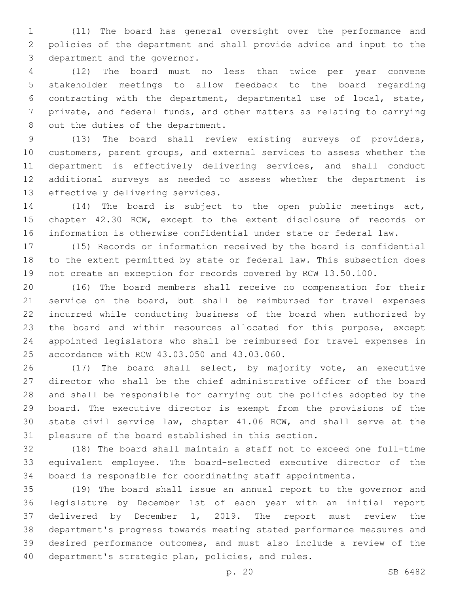(11) The board has general oversight over the performance and policies of the department and shall provide advice and input to the 3 department and the governor.

 (12) The board must no less than twice per year convene stakeholder meetings to allow feedback to the board regarding contracting with the department, departmental use of local, state, private, and federal funds, and other matters as relating to carrying 8 out the duties of the department.

 (13) The board shall review existing surveys of providers, customers, parent groups, and external services to assess whether the department is effectively delivering services, and shall conduct additional surveys as needed to assess whether the department is 13 effectively delivering services.

 (14) The board is subject to the open public meetings act, chapter 42.30 RCW, except to the extent disclosure of records or information is otherwise confidential under state or federal law.

 (15) Records or information received by the board is confidential to the extent permitted by state or federal law. This subsection does not create an exception for records covered by RCW 13.50.100.

 (16) The board members shall receive no compensation for their service on the board, but shall be reimbursed for travel expenses incurred while conducting business of the board when authorized by the board and within resources allocated for this purpose, except appointed legislators who shall be reimbursed for travel expenses in 25 accordance with RCW 43.03.050 and 43.03.060.

 (17) The board shall select, by majority vote, an executive director who shall be the chief administrative officer of the board and shall be responsible for carrying out the policies adopted by the board. The executive director is exempt from the provisions of the state civil service law, chapter 41.06 RCW, and shall serve at the pleasure of the board established in this section.

 (18) The board shall maintain a staff not to exceed one full-time equivalent employee. The board-selected executive director of the board is responsible for coordinating staff appointments.

 (19) The board shall issue an annual report to the governor and legislature by December 1st of each year with an initial report delivered by December 1, 2019. The report must review the department's progress towards meeting stated performance measures and desired performance outcomes, and must also include a review of the 40 department's strategic plan, policies, and rules.